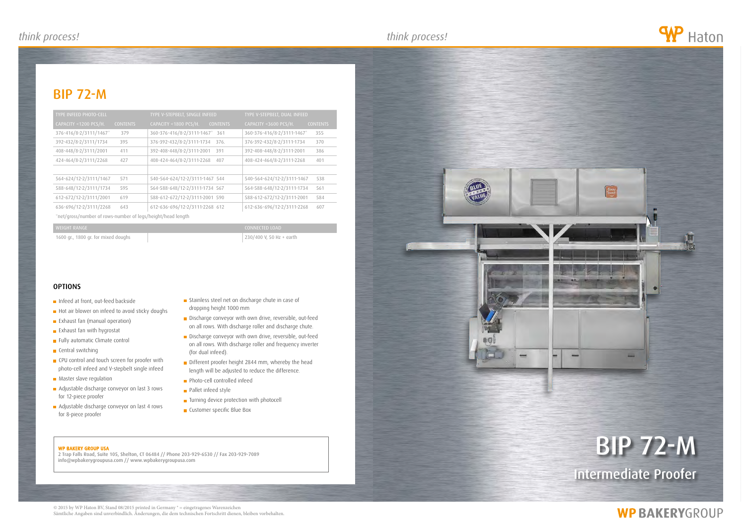#### WP BAKERY GROUP USA

2 Trap Falls Road, Suite 105, Shelton, CT 06484 // Phone 203-929-6530 // Fax 203-929-7089 info@wpbakerygroupusa.com // www.wpbakerygroupusa.com

# bip 72-m

Intermediate Proofer

## **WP BAKERYGROUP**

### bip 72-m





- Infeed at front, out-feed backside
- Hot air blower on infeed to avoid sticky doughs
- **Exhaust fan (manual operation)**
- **Exhaust fan with hygrostat**
- Fully automatic Climate control
- **Central switching**
- **CPU** control and touch screen for proofer with photo-cell infeed and V-stepbelt single infeed
- **Master slave regulation**
- Adjustable discharge conveyor on last 3 rows for 12-piece proofer
- Adjustable discharge conveyor on last 4 rows for 8-piece proofer
- Stainless steel net on discharge chute in case of dropping height 1000 mm
- Discharge conveyor with own drive, reversible, out-feed on all rows. With discharge roller and discharge chute.
- Discharge conveyor with own drive, reversible, out-feed on all rows. With discharge roller and frequency inverter (for dual infeed).
- Different proofer height 2844 mm, whereby the head length will be adjusted to reduce the difference.
- **Photo-cell controlled infeed**
- **Pallet infeed style**
- **Turning device protection with photocell**
- **Customer specific Blue Box**

| <b>TYPE INFEED PHOTO-CELL</b> |                 | TYPE V-STEPBELT, SINGLE INFEED           |  | TYPE V-STEPBELT, DUAL INFEED |                 |
|-------------------------------|-----------------|------------------------------------------|--|------------------------------|-----------------|
| GAPACITY < 1200 PCS/H.        | <b>CONTENTS</b> | CAPACITY <1800 PCS/H.<br><b>CONTENTS</b> |  | CAPACITY <3600 PCS/H.        | <b>CONTENTS</b> |
| 376-416/8-2/3111/1467*        | 379             | 360-376-416/8-2/3111-1467* 361           |  | 360-376-416/8-2/3111-1467*   | 355             |
| 392-432/8-2/3111/1734         | 395             | 376-392-432/8-2/3111-1734<br>376.        |  | 376-392-432/8-2/3111-1734    | 370             |
| 408-448/8-2/3111/2001         | 411             | 392-408-448/8-2/3111-2001<br>391         |  | 392-408-448/8-2/3111-2001    | 386             |
| 424-464/8-2/3111/2268         | 427             | 408-424-464/8-2/3111-2268<br>407         |  | 408-424-464/8-2/3111-2268    | 401             |
|                               |                 |                                          |  |                              |                 |
| 564-624/12-2/3111/1467        | 571             | 540-564-624/12-2/3111-1467 544           |  | 540-564-624/12-2/3111-1467   | 538             |
| 588-648/12-2/3111/1734        | 595             | 564-588-648/12-2/3111-1734 567           |  | 564-588-648/12-2/3111-1734   | 561             |
| 612-672/12-2/3111/2001        | 619             | 588-612-672/12-2/3111-2001 590           |  | 588-612-672/12-2/3111-2001   | 584             |
| 636-696/12-2/3111/2268        | 643             | 612-636-696/12-2/3111-2268 612           |  | 612-636-696/12-2/3111-2268   | 607             |
|                               |                 |                                          |  |                              |                 |

\*net/gross/number of rows-number of legs/height/head length

1600 gr., 1800 gr. for mixed doughs 230/400 V, 50 Hz + earth

### **OPTIONS**